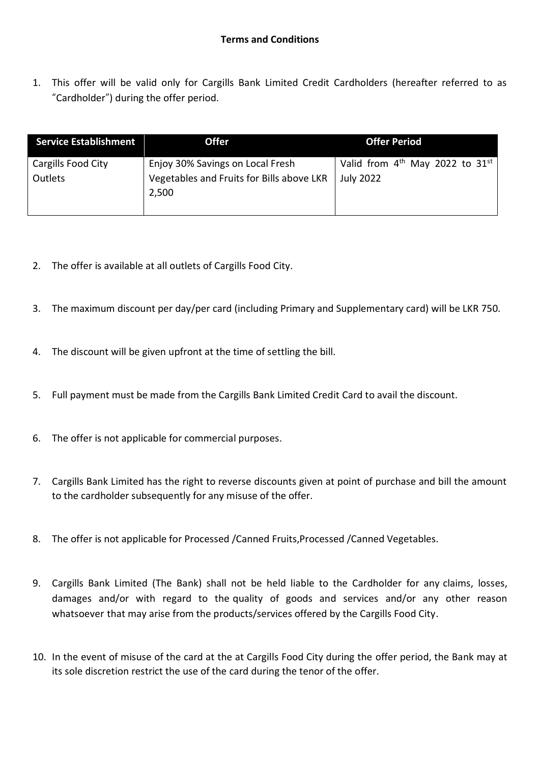1. This offer will be valid only for Cargills Bank Limited Credit Cardholders (hereafter referred to as "Cardholder") during the offer period.

| <b>Service Establishment</b>  | <b>Offer</b>                                                                           | <b>Offer Period</b>                                               |
|-------------------------------|----------------------------------------------------------------------------------------|-------------------------------------------------------------------|
| Cargills Food City<br>Outlets | Enjoy 30% Savings on Local Fresh<br>Vegetables and Fruits for Bills above LKR<br>2,500 | Valid from $4th$ May 2022 to 31 <sup>st</sup><br><b>July 2022</b> |

- 2. The offer is available at all outlets of Cargills Food City.
- 3. The maximum discount per day/per card (including Primary and Supplementary card) will be LKR 750.
- 4. The discount will be given upfront at the time of settling the bill.
- 5. Full payment must be made from the Cargills Bank Limited Credit Card to avail the discount.
- 6. The offer is not applicable for commercial purposes.
- 7. Cargills Bank Limited has the right to reverse discounts given at point of purchase and bill the amount to the cardholder subsequently for any misuse of the offer.
- 8. The offer is not applicable for Processed /Canned Fruits,Processed /Canned Vegetables.
- 9. Cargills Bank Limited (The Bank) shall not be held liable to the Cardholder for any claims, losses, damages and/or with regard to the quality of goods and services and/or any other reason whatsoever that may arise from the products/services offered by the Cargills Food City.
- 10. In the event of misuse of the card at the at Cargills Food City during the offer period, the Bank may at its sole discretion restrict the use of the card during the tenor of the offer.